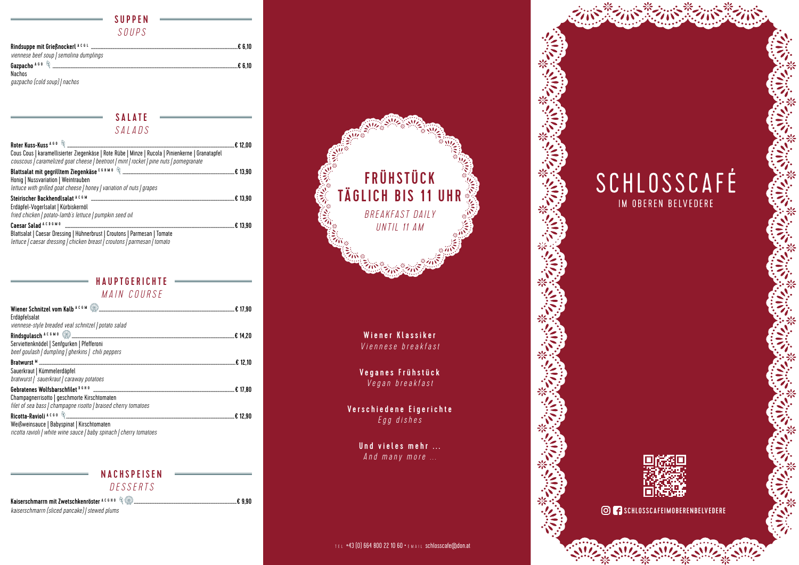## SUPPEN SOUPS

| Rindsuppe mit Grießnockerl ACGL manual manual manual manual manual manual manual manual manual manual | E 6.10  |
|-------------------------------------------------------------------------------------------------------|---------|
| viennese beef soup   semolina dumplings                                                               |         |
| Gazpacho $460\%$                                                                                      | .€ 6.10 |
| Nachos                                                                                                |         |
| gazpacho (cold soup)   nachos                                                                         |         |

**SALATE** 

## SALADS

| Cous Cous   karamellisierter Ziegenkäse   Rote Rübe   Minze   Rucola   Pinienkerne   Granatapfel<br>couscous   caramelized goat cheese   beetroot   mint   rocket   pine nuts   pomegranate   |  |
|-----------------------------------------------------------------------------------------------------------------------------------------------------------------------------------------------|--|
| Honig   Nussvariation   Weintrauben<br>lettuce with grilled goat cheese   honey   variation of nuts   grapes                                                                                  |  |
| Erdäpfel-Vogerlsalat   Kürbiskernöl<br>fried chicken   potato-lamb's lettuce   pumpkin seed oil                                                                                               |  |
| Caesar Salad <sup>A C D G M O</sup><br>Blattsalat   Caesar Dressing   Hühnerbrust   Croutons   Parmesan   Tomate<br>lettuce   caesar dressing   chicken breast   croutons   parmesan   tomato |  |

## HAUPTGERICHTE MAIN COURSE

| Erdäpfelsalat<br>viennese-style breaded veal schnitzel   potato salad                                             |  |
|-------------------------------------------------------------------------------------------------------------------|--|
| Serviettenknödel   Senfgurken   Pfefferoni<br>beef goulash   dumpling   gherkins   chili peppers                  |  |
| Sauerkraut   Kümmelerdäpfel<br>bratwurst   sauerkraut   caraway potatoes                                          |  |
| Champagnerrisotto   geschmorte Kirschtomaten<br>filet of sea bass   champagne risotto   braised cherry tomatoes   |  |
| Weißweinsauce   Babyspinat   Kirschtomaten<br>ricotta ravioli   white wine sauce   baby spinach   cherry tomatoes |  |

## NACHSPEISEN DESSERTS

 $. \, \pounds 9,90$ 

Kaiserschmarrn mit Zwetschkenröster  $\text{A C 6 H 0 } \mathcal{D}$ . kaiserschmarrn (sliced pancake) | stewed plums



Wiener Klassiker Viennese breakfast

Veganes Frühstück<br>Vegan breakfast

Verschiedene Eigerichte Egg dishes

> Und vieles mehr ... And many more ...

# SCHLOSSCAFÉ IM OBEREN BELVEDERE



SCHLOSSCAFEIMOBERENBELVEDERE